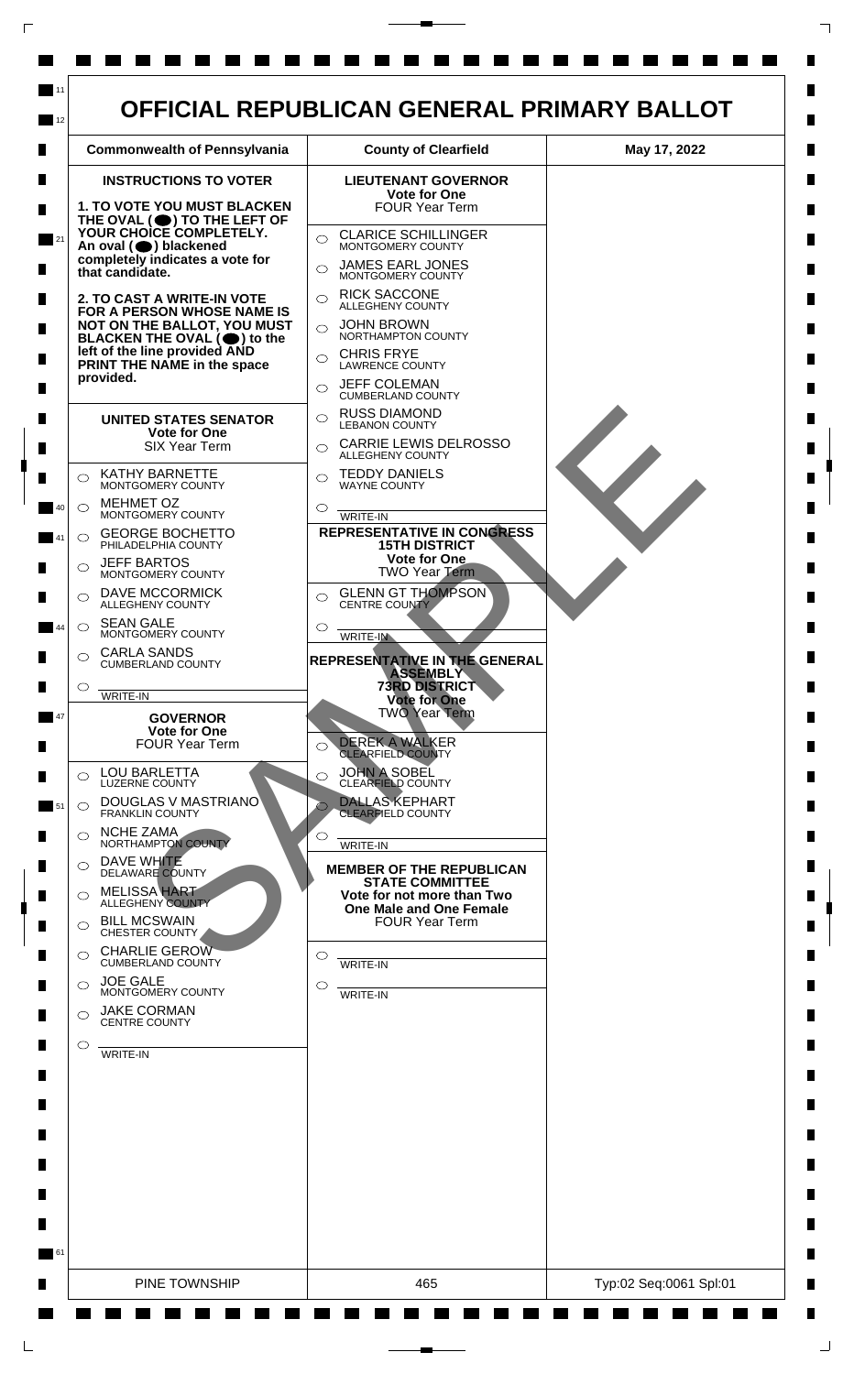

 $\mathsf{L}$